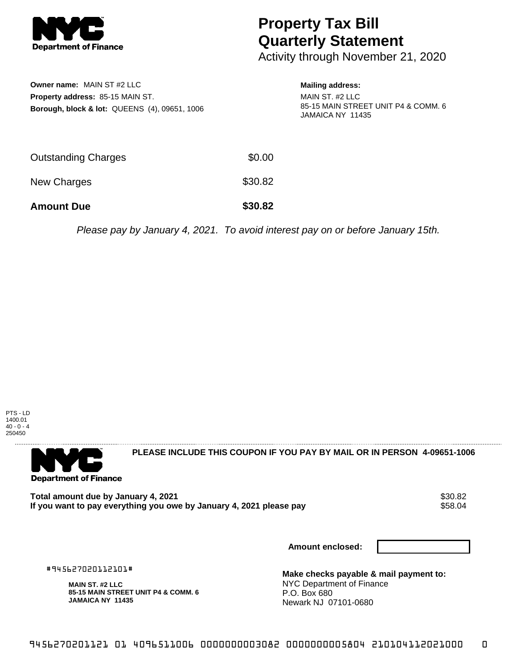

**Owner name:** MAIN ST #2 LLC **Property address:** 85-15 MAIN ST.

**Borough, block & lot:** QUEENS (4), 09651, 1006

## **Property Tax Bill Quarterly Statement**

Activity through November 21, 2020

## **Mailing address:**

MAIN ST. #2 LLC 85-15 MAIN STREET UNIT P4 & COMM. 6 JAMAICA NY 11435

| <b>Amount Due</b>          | \$30.82 |
|----------------------------|---------|
| New Charges                | \$30.82 |
| <b>Outstanding Charges</b> | \$0.00  |

Please pay by January 4, 2021. To avoid interest pay on or before January 15th.





**PLEASE INCLUDE THIS COUPON IF YOU PAY BY MAIL OR IN PERSON 4-09651-1006** 

Total amount due by January 4, 2021<br>If you want to pay everything you owe by January 4, 2021 please pay **show that the same of the state of the s**58.04 If you want to pay everything you owe by January 4, 2021 please pay

**Amount enclosed:**

#945627020112101#

**MAIN ST. #2 LLC 85-15 MAIN STREET UNIT P4 & COMM. 6 JAMAICA NY 11435**

**Make checks payable & mail payment to:** NYC Department of Finance P.O. Box 680 Newark NJ 07101-0680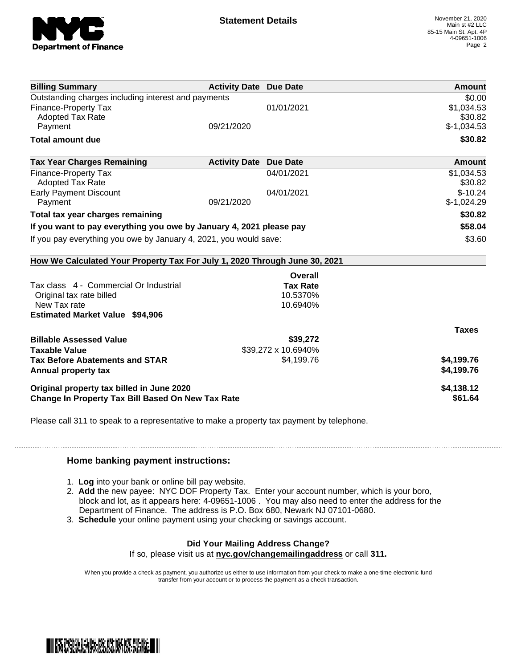

| <b>Activity Date Due Date</b>                                       |                                                                                                         | Amount                                                                                                                           |
|---------------------------------------------------------------------|---------------------------------------------------------------------------------------------------------|----------------------------------------------------------------------------------------------------------------------------------|
|                                                                     |                                                                                                         | \$0.00                                                                                                                           |
|                                                                     | 01/01/2021                                                                                              | \$1,034.53                                                                                                                       |
|                                                                     |                                                                                                         | \$30.82                                                                                                                          |
|                                                                     |                                                                                                         | $$-1,034.53$                                                                                                                     |
|                                                                     |                                                                                                         | \$30.82                                                                                                                          |
|                                                                     |                                                                                                         | <b>Amount</b>                                                                                                                    |
|                                                                     | 04/01/2021                                                                                              | \$1,034.53                                                                                                                       |
|                                                                     |                                                                                                         | \$30.82                                                                                                                          |
|                                                                     | 04/01/2021                                                                                              | $$-10.24$                                                                                                                        |
|                                                                     |                                                                                                         | $$-1,024.29$                                                                                                                     |
|                                                                     |                                                                                                         | \$30.82                                                                                                                          |
| If you want to pay everything you owe by January 4, 2021 please pay |                                                                                                         | \$58.04                                                                                                                          |
| If you pay everything you owe by January 4, 2021, you would save:   |                                                                                                         | \$3.60                                                                                                                           |
|                                                                     |                                                                                                         |                                                                                                                                  |
|                                                                     | Overall                                                                                                 |                                                                                                                                  |
|                                                                     | <b>Tax Rate</b>                                                                                         |                                                                                                                                  |
|                                                                     | 10.5370%                                                                                                |                                                                                                                                  |
|                                                                     |                                                                                                         |                                                                                                                                  |
|                                                                     |                                                                                                         |                                                                                                                                  |
|                                                                     |                                                                                                         | <b>Taxes</b>                                                                                                                     |
|                                                                     | \$39,272                                                                                                |                                                                                                                                  |
|                                                                     |                                                                                                         |                                                                                                                                  |
|                                                                     | \$4,199.76                                                                                              | \$4,199.76                                                                                                                       |
|                                                                     |                                                                                                         |                                                                                                                                  |
|                                                                     |                                                                                                         | \$4,199.76                                                                                                                       |
|                                                                     |                                                                                                         | \$4,138.12                                                                                                                       |
|                                                                     | Outstanding charges including interest and payments<br>09/21/2020<br><b>Activity Date</b><br>09/21/2020 | <b>Due Date</b><br>How We Calculated Your Property Tax For July 1, 2020 Through June 30, 2021<br>10.6940%<br>\$39,272 x 10.6940% |

Please call 311 to speak to a representative to make a property tax payment by telephone.

## **Home banking payment instructions:**

- 1. **Log** into your bank or online bill pay website.
- 2. **Add** the new payee: NYC DOF Property Tax. Enter your account number, which is your boro, block and lot, as it appears here: 4-09651-1006 . You may also need to enter the address for the Department of Finance. The address is P.O. Box 680, Newark NJ 07101-0680.
- 3. **Schedule** your online payment using your checking or savings account.

## **Did Your Mailing Address Change?**

If so, please visit us at **nyc.gov/changemailingaddress** or call **311.**

When you provide a check as payment, you authorize us either to use information from your check to make a one-time electronic fund transfer from your account or to process the payment as a check transaction.